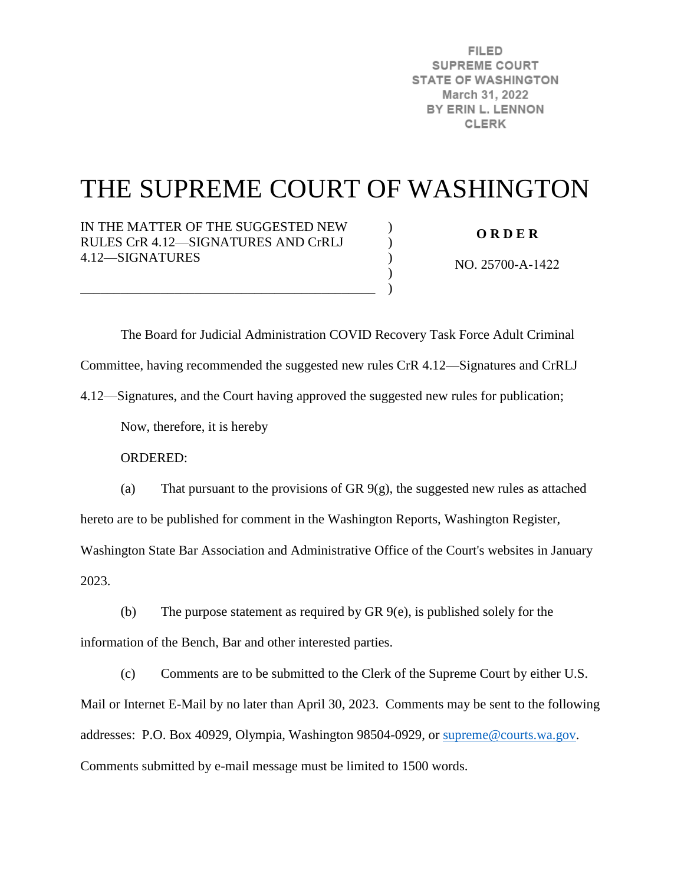**FILED SUPREME COURT STATE OF WASHINGTON** March 31, 2022 BY ERIN L. LENNON **CLERK** 

# THE SUPREME COURT OF WASHINGTON

 $\mathcal{L}$  $\lambda$  $\mathcal{L}$ ) )

IN THE MATTER OF THE SUGGESTED NEW RULES CrR 4.12—SIGNATURES AND CrRLJ 4.12—SIGNATURES

\_\_\_\_\_\_\_\_\_\_\_\_\_\_\_\_\_\_\_\_\_\_\_\_\_\_\_\_\_\_\_\_\_\_\_\_\_\_\_\_\_\_\_\_

**O R D E R** 

NO. 25700-A-1422

 The Board for Judicial Administration COVID Recovery Task Force Adult Criminal Committee, having recommended the suggested new rules CrR 4.12—Signatures and CrRLJ 4.12—Signatures, and the Court having approved the suggested new rules for publication;

Now, therefore, it is hereby

ORDERED:

(a) That pursuant to the provisions of GR 9(g), the suggested new rules as attached hereto are to be published for comment in the Washington Reports, Washington Register, Washington State Bar Association and Administrative Office of the Court's websites in January

2023.

(b) The purpose statement as required by GR 9(e), is published solely for the information of the Bench, Bar and other interested parties.

(c) Comments are to be submitted to the Clerk of the Supreme Court by either U.S. Mail or Internet E-Mail by no later than April 30, 2023. Comments may be sent to the following addresses: P.O. Box 40929, Olympia, Washington 98504-0929, or [supreme@courts.wa.gov.](mailto:supreme@courts.wa.gov) Comments submitted by e-mail message must be limited to 1500 words.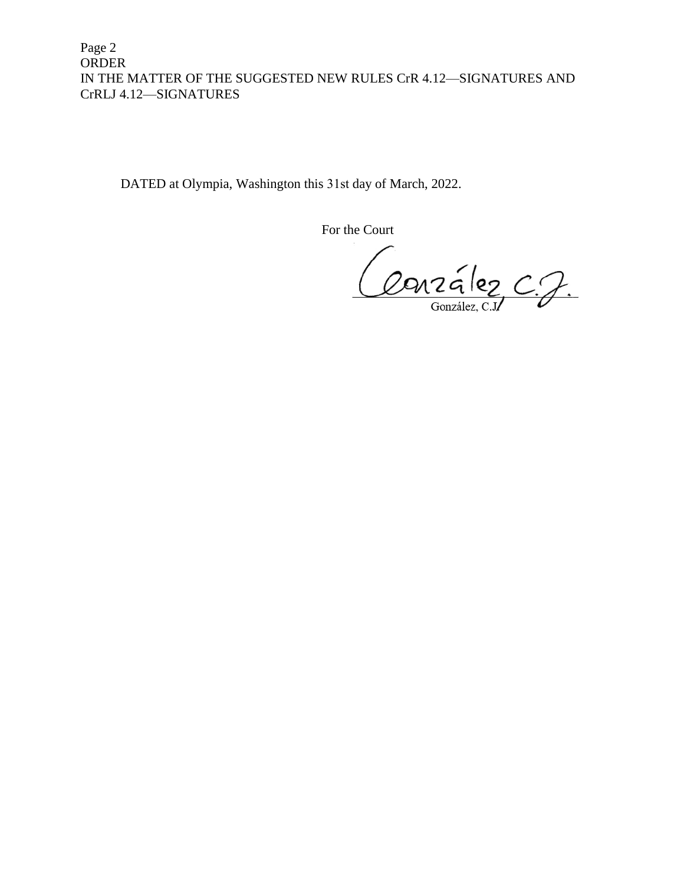Page 2 ORDER IN THE MATTER OF THE SUGGESTED NEW RULES CrR 4.12—SIGNATURES AND CrRLJ 4.12—SIGNATURES

DATED at Olympia, Washington this 31st day of March, 2022.

For the Court

Ourralez C.J.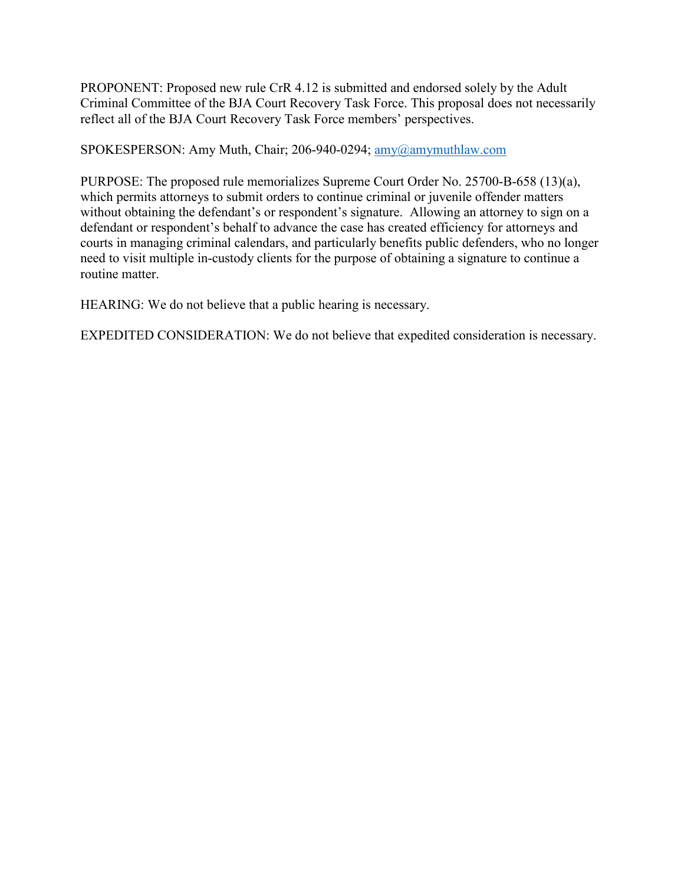PROPONENT: Proposed new rule CrR 4.12 is submitted and endorsed solely by the Adult Criminal Committee of the BJA Court Recovery Task Force. This proposal does not necessarily reflect all of the BJA Court Recovery Task Force members' perspectives.

SPOKESPERSON: Amy Muth, Chair; 206-940-0294; [amy@amymuthlaw.com](mailto:amy@amymuthlaw.com)

PURPOSE: The proposed rule memorializes Supreme Court Order No. 25700-B-658 (13)(a), which permits attorneys to submit orders to continue criminal or juvenile offender matters without obtaining the defendant's or respondent's signature. Allowing an attorney to sign on a defendant or respondent's behalf to advance the case has created efficiency for attorneys and courts in managing criminal calendars, and particularly benefits public defenders, who no longer need to visit multiple in-custody clients for the purpose of obtaining a signature to continue a routine matter.

HEARING: We do not believe that a public hearing is necessary.

EXPEDITED CONSIDERATION: We do not believe that expedited consideration is necessary.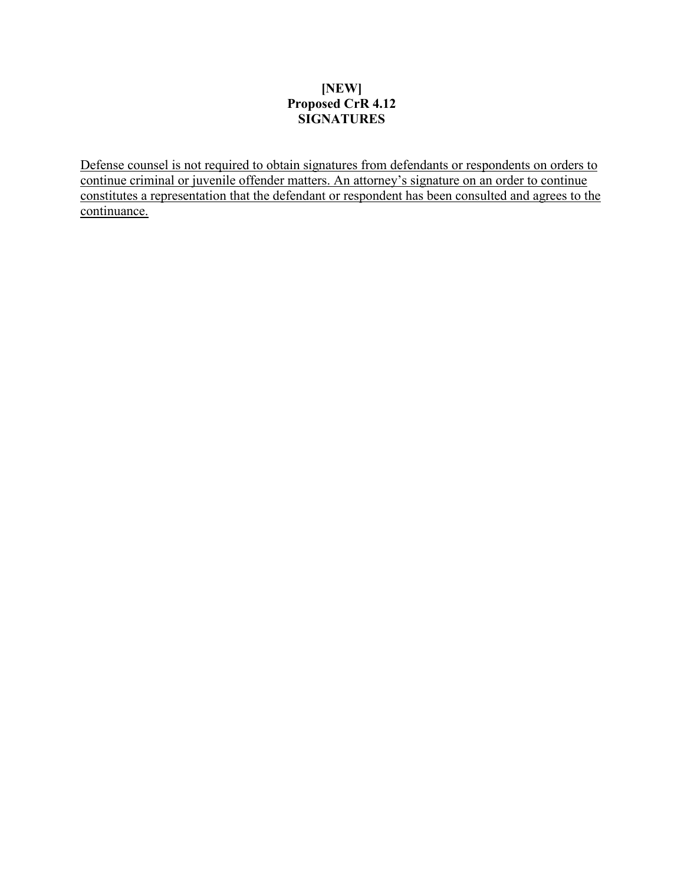### **[NEW] Proposed CrR 4.12 SIGNATURES**

Defense counsel is not required to obtain signatures from defendants or respondents on orders to continue criminal or juvenile offender matters. An attorney's signature on an order to continue constitutes a representation that the defendant or respondent has been consulted and agrees to the continuance.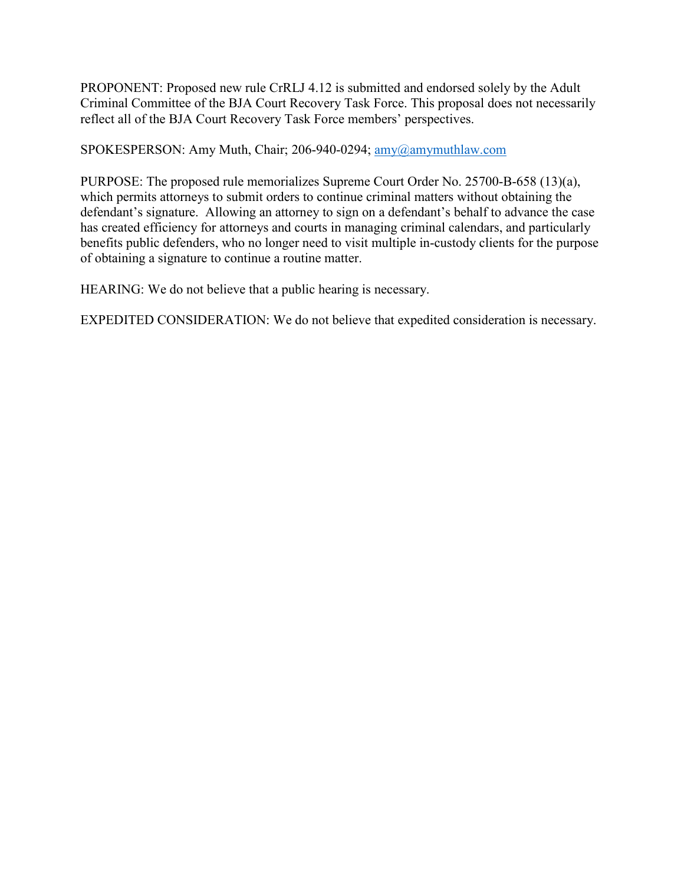PROPONENT: Proposed new rule CrRLJ 4.12 is submitted and endorsed solely by the Adult Criminal Committee of the BJA Court Recovery Task Force. This proposal does not necessarily reflect all of the BJA Court Recovery Task Force members' perspectives.

SPOKESPERSON: Amy Muth, Chair; 206-940-0294; [amy@amymuthlaw.com](mailto:amy@amymuthlaw.com)

PURPOSE: The proposed rule memorializes Supreme Court Order No. 25700-B-658 (13)(a), which permits attorneys to submit orders to continue criminal matters without obtaining the defendant's signature. Allowing an attorney to sign on a defendant's behalf to advance the case has created efficiency for attorneys and courts in managing criminal calendars, and particularly benefits public defenders, who no longer need to visit multiple in-custody clients for the purpose of obtaining a signature to continue a routine matter.

HEARING: We do not believe that a public hearing is necessary.

EXPEDITED CONSIDERATION: We do not believe that expedited consideration is necessary.